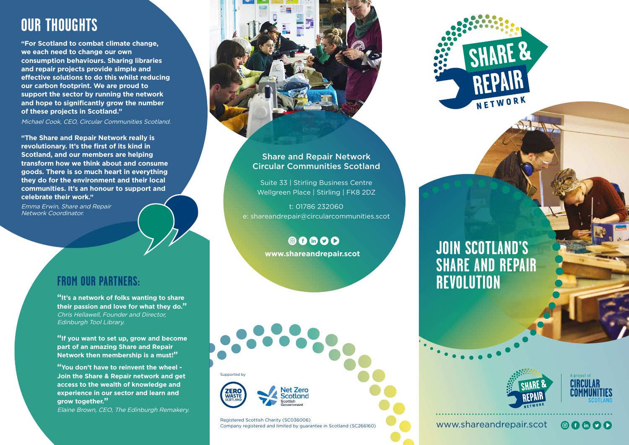# **OUR THOUGHTS**

**"For Scotland to combat climate change, we each need to change our own consumption behaviours. Sharing libraries and repair projects provide simple and effective solutions to do this whilst reducing our carbon footprint. We are proud to support the sector by running the network and hope to significantly grow the number of these projects in Scotland."**

Michael Cook, CEO, Circular Communities Scotland.

**"The Share and Repair Network really is revolutionary. It's the first of its kind in Scotland, and our members are helping transform how we think about and consume goods. There is so much heart in everything they do for the environment and their local communities. It's an honour to support and celebrate their work."**

Emma Erwin, Share and Repair Network Coordinator.

#### **FROM OUR PARTNERS:**

**"It's a network of folks wanting to share their passion and love for what they do."**  Chris Hellawell, Founder and Director, Edinburgh Tool Library.

**"If you want to set up, grow and become part of an amazing Share and Repair Network then membership is a must!"**

**"You don't have to reinvent the wheel - Join the Share & Repair network and get access to the wealth of knowledge and experience in our sector and learn and grow together."**

Elaine Brown, CEO, The Edinburgh Remakery.



# Circular Communities Scotland

Suite 33 | Stirling Business Centre Wellgreen Place | Stirling | FK8 2DZ

t: 01786 232060 e: shareandrepair@circularcommunities.scot

> 00000 **www.shareandrepair.scot**





Registered Scottish Charity (SC036006) Company registered and limited by guarantee in Scotland (SC266160)









#### www.shareandrepair.scot

 $\circ$  f in  $\circ$   $\circ$